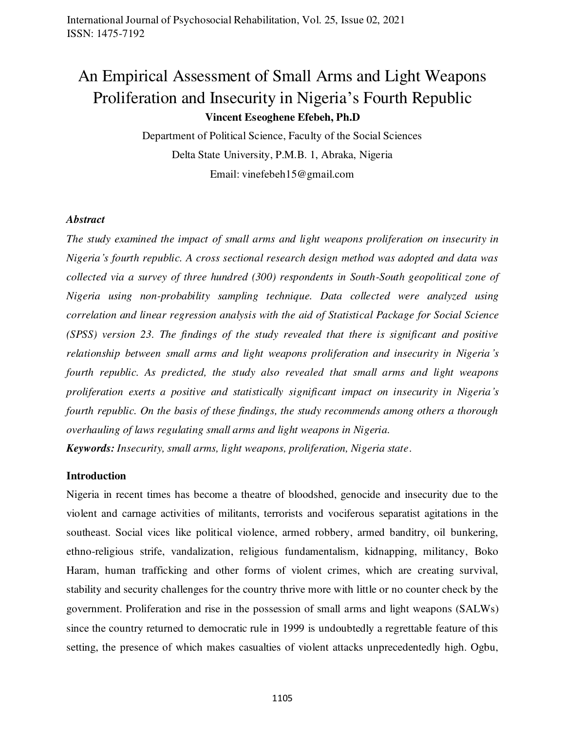# An Empirical Assessment of Small Arms and Light Weapons Proliferation and Insecurity in Nigeria's Fourth Republic **Vincent Eseoghene Efebeh, Ph.D**

Department of Political Science, Faculty of the Social Sciences Delta State University, P.M.B. 1, Abraka, Nigeria Email: vinefebeh15@gmail.com

#### *Abstract*

*The study examined the impact of small arms and light weapons proliferation on insecurity in Nigeria's fourth republic. A cross sectional research design method was adopted and data was collected via a survey of three hundred (300) respondents in South-South geopolitical zone of Nigeria using non-probability sampling technique. Data collected were analyzed using correlation and linear regression analysis with the aid of Statistical Package for Social Science (SPSS) version 23. The findings of the study revealed that there is significant and positive relationship between small arms and light weapons proliferation and insecurity in Nigeria's fourth republic. As predicted, the study also revealed that small arms and light weapons proliferation exerts a positive and statistically significant impact on insecurity in Nigeria's fourth republic. On the basis of these findings, the study recommends among others a thorough overhauling of laws regulating small arms and light weapons in Nigeria.* 

*Keywords: Insecurity, small arms, light weapons, proliferation, Nigeria state*.

#### **Introduction**

Nigeria in recent times has become a theatre of bloodshed, genocide and insecurity due to the violent and carnage activities of militants, terrorists and vociferous separatist agitations in the southeast. Social vices like political violence, armed robbery, armed banditry, oil bunkering, ethno-religious strife, vandalization, religious fundamentalism, kidnapping, militancy, Boko Haram, human trafficking and other forms of violent crimes, which are creating survival, stability and security challenges for the country thrive more with little or no counter check by the government. Proliferation and rise in the possession of small arms and light weapons (SALWs) since the country returned to democratic rule in 1999 is undoubtedly a regrettable feature of this setting, the presence of which makes casualties of violent attacks unprecedentedly high. Ogbu,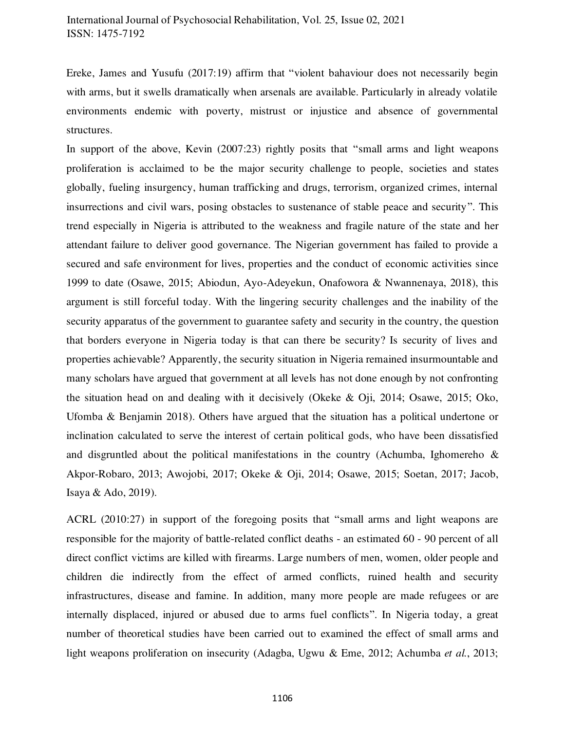Ereke, James and Yusufu (2017:19) affirm that "violent bahaviour does not necessarily begin with arms, but it swells dramatically when arsenals are available. Particularly in already volatile environments endemic with poverty, mistrust or injustice and absence of governmental structures.

In support of the above, Kevin (2007:23) rightly posits that "small arms and light weapons proliferation is acclaimed to be the major security challenge to people, societies and states globally, fueling insurgency, human trafficking and drugs, terrorism, organized crimes, internal insurrections and civil wars, posing obstacles to sustenance of stable peace and security". This trend especially in Nigeria is attributed to the weakness and fragile nature of the state and her attendant failure to deliver good governance. The Nigerian government has failed to provide a secured and safe environment for lives, properties and the conduct of economic activities since 1999 to date (Osawe, 2015; Abiodun, Ayo-Adeyekun, Onafowora & Nwannenaya, 2018), this argument is still forceful today. With the lingering security challenges and the inability of the security apparatus of the government to guarantee safety and security in the country, the question that borders everyone in Nigeria today is that can there be security? Is security of lives and properties achievable? Apparently, the security situation in Nigeria remained insurmountable and many scholars have argued that government at all levels has not done enough by not confronting the situation head on and dealing with it decisively (Okeke & Oji, 2014; Osawe, 2015; Oko, Ufomba & Benjamin 2018). Others have argued that the situation has a political undertone or inclination calculated to serve the interest of certain political gods, who have been dissatisfied and disgruntled about the political manifestations in the country (Achumba, Ighomereho & Akpor-Robaro, 2013; Awojobi, 2017; Okeke & Oji, 2014; Osawe, 2015; Soetan, 2017; Jacob, Isaya & Ado, 2019).

ACRL (2010:27) in support of the foregoing posits that "small arms and light weapons are responsible for the majority of battle-related conflict deaths - an estimated 60 - 90 percent of all direct conflict victims are killed with firearms. Large numbers of men, women, older people and children die indirectly from the effect of armed conflicts, ruined health and security infrastructures, disease and famine. In addition, many more people are made refugees or are internally displaced, injured or abused due to arms fuel conflicts". In Nigeria today, a great number of theoretical studies have been carried out to examined the effect of small arms and light weapons proliferation on insecurity (Adagba, Ugwu & Eme, 2012; Achumba *et al.*, 2013;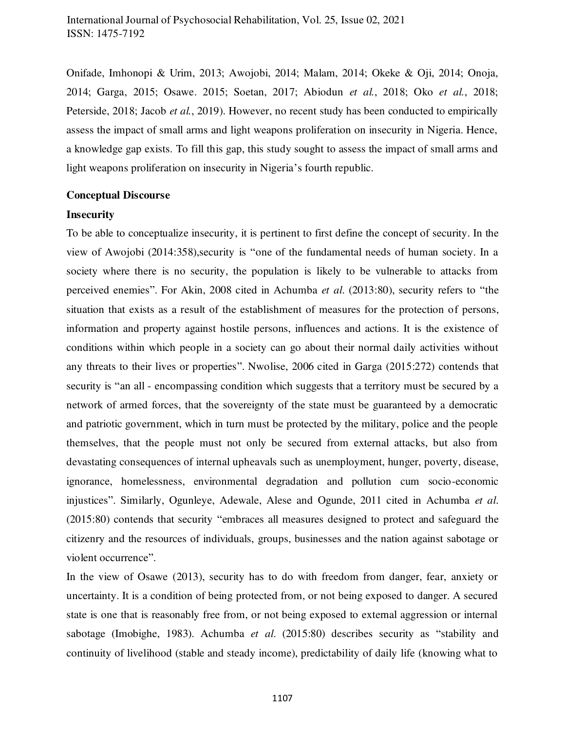Onifade, Imhonopi & Urim, 2013; Awojobi, 2014; Malam, 2014; Okeke & Oji, 2014; Onoja, 2014; Garga, 2015; Osawe. 2015; Soetan, 2017; Abiodun *et al.*, 2018; Oko *et al.*, 2018; Peterside, 2018; Jacob *et al.*, 2019). However, no recent study has been conducted to empirically assess the impact of small arms and light weapons proliferation on insecurity in Nigeria. Hence, a knowledge gap exists. To fill this gap, this study sought to assess the impact of small arms and light weapons proliferation on insecurity in Nigeria's fourth republic.

#### **Conceptual Discourse**

#### **Insecurity**

To be able to conceptualize insecurity, it is pertinent to first define the concept of security. In the view of Awojobi (2014:358),security is "one of the fundamental needs of human society. In a society where there is no security, the population is likely to be vulnerable to attacks from perceived enemies". For Akin, 2008 cited in Achumba *et al*. (2013:80), security refers to "the situation that exists as a result of the establishment of measures for the protection of persons, information and property against hostile persons, influences and actions. It is the existence of conditions within which people in a society can go about their normal daily activities without any threats to their lives or properties". Nwolise, 2006 cited in Garga (2015:272) contends that security is "an all - encompassing condition which suggests that a territory must be secured by a network of armed forces, that the sovereignty of the state must be guaranteed by a democratic and patriotic government, which in turn must be protected by the military, police and the people themselves, that the people must not only be secured from external attacks, but also from devastating consequences of internal upheavals such as unemployment, hunger, poverty, disease, ignorance, homelessness, environmental degradation and pollution cum socio-economic injustices". Similarly, Ogunleye, Adewale, Alese and Ogunde, 2011 cited in Achumba *et al*. (2015:80) contends that security "embraces all measures designed to protect and safeguard the citizenry and the resources of individuals, groups, businesses and the nation against sabotage or violent occurrence".

In the view of Osawe (2013), security has to do with freedom from danger, fear, anxiety or uncertainty. It is a condition of being protected from, or not being exposed to danger. A secured state is one that is reasonably free from, or not being exposed to external aggression or internal sabotage (Imobighe, 1983). Achumba *et al*. (2015:80) describes security as "stability and continuity of livelihood (stable and steady income), predictability of daily life (knowing what to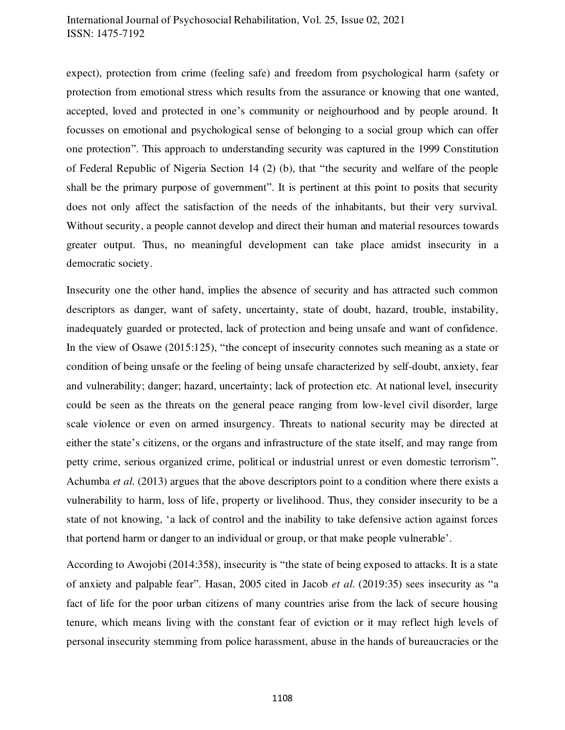expect), protection from crime (feeling safe) and freedom from psychological harm (safety or protection from emotional stress which results from the assurance or knowing that one wanted, accepted, loved and protected in one's community or neighourhood and by people around. It focusses on emotional and psychological sense of belonging to a social group which can offer one protection". This approach to understanding security was captured in the 1999 Constitution of Federal Republic of Nigeria Section 14 (2) (b), that "the security and welfare of the people shall be the primary purpose of government". It is pertinent at this point to posits that security does not only affect the satisfaction of the needs of the inhabitants, but their very survival. Without security, a people cannot develop and direct their human and material resources towards greater output. Thus, no meaningful development can take place amidst insecurity in a democratic society.

Insecurity one the other hand, implies the absence of security and has attracted such common descriptors as danger, want of safety, uncertainty, state of doubt, hazard, trouble, instability, inadequately guarded or protected, lack of protection and being unsafe and want of confidence. In the view of Osawe (2015:125), "the concept of insecurity connotes such meaning as a state or condition of being unsafe or the feeling of being unsafe characterized by self-doubt, anxiety, fear and vulnerability; danger; hazard, uncertainty; lack of protection etc. At national level, insecurity could be seen as the threats on the general peace ranging from low-level civil disorder, large scale violence or even on armed insurgency. Threats to national security may be directed at either the state's citizens, or the organs and infrastructure of the state itself, and may range from petty crime, serious organized crime, political or industrial unrest or even domestic terrorism". Achumba *et al*. (2013) argues that the above descriptors point to a condition where there exists a vulnerability to harm, loss of life, property or livelihood. Thus, they consider insecurity to be a state of not knowing, 'a lack of control and the inability to take defensive action against forces that portend harm or danger to an individual or group, or that make people vulnerable'.

According to Awojobi (2014:358), insecurity is "the state of being exposed to attacks. It is a state of anxiety and palpable fear". Hasan, 2005 cited in Jacob *et al*. (2019:35) sees insecurity as "a fact of life for the poor urban citizens of many countries arise from the lack of secure housing tenure, which means living with the constant fear of eviction or it may reflect high levels of personal insecurity stemming from police harassment, abuse in the hands of bureaucracies or the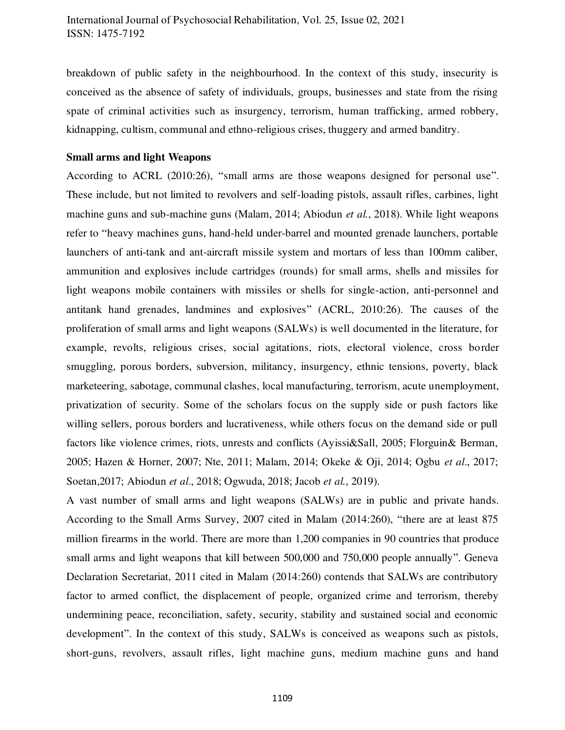breakdown of public safety in the neighbourhood. In the context of this study, insecurity is conceived as the absence of safety of individuals, groups, businesses and state from the rising spate of criminal activities such as insurgency, terrorism, human trafficking, armed robbery, kidnapping, cultism, communal and ethno-religious crises, thuggery and armed banditry.

#### **Small arms and light Weapons**

According to ACRL (2010:26), "small arms are those weapons designed for personal use". These include, but not limited to revolvers and self-loading pistols, assault rifles, carbines, light machine guns and sub-machine guns (Malam, 2014; Abiodun *et al.*, 2018). While light weapons refer to "heavy machines guns, hand-held under-barrel and mounted grenade launchers, portable launchers of anti-tank and ant-aircraft missile system and mortars of less than 100mm caliber, ammunition and explosives include cartridges (rounds) for small arms, shells and missiles for light weapons mobile containers with missiles or shells for single-action, anti-personnel and antitank hand grenades, landmines and explosives" (ACRL, 2010:26). The causes of the proliferation of small arms and light weapons (SALWs) is well documented in the literature, for example, revolts, religious crises, social agitations, riots, electoral violence, cross border smuggling, porous borders, subversion, militancy, insurgency, ethnic tensions, poverty, black marketeering, sabotage, communal clashes, local manufacturing, terrorism, acute unemployment, privatization of security. Some of the scholars focus on the supply side or push factors like willing sellers, porous borders and lucrativeness, while others focus on the demand side or pull factors like violence crimes, riots, unrests and conflicts (Ayissi&Sall, 2005; Florguin& Berman, 2005; Hazen & Horner, 2007; Nte, 2011; Malam, 2014; Okeke & Oji, 2014; Ogbu *et al*., 2017; Soetan,2017; Abiodun *et al*., 2018; Ogwuda, 2018; Jacob *et al.*, 2019).

A vast number of small arms and light weapons (SALWs) are in public and private hands. According to the Small Arms Survey, 2007 cited in Malam (2014:260), "there are at least 875 million firearms in the world. There are more than 1,200 companies in 90 countries that produce small arms and light weapons that kill between 500,000 and 750,000 people annually". Geneva Declaration Secretariat, 2011 cited in Malam (2014:260) contends that SALWs are contributory factor to armed conflict, the displacement of people, organized crime and terrorism, thereby undermining peace, reconciliation, safety, security, stability and sustained social and economic development". In the context of this study, SALWs is conceived as weapons such as pistols, short-guns, revolvers, assault rifles, light machine guns, medium machine guns and hand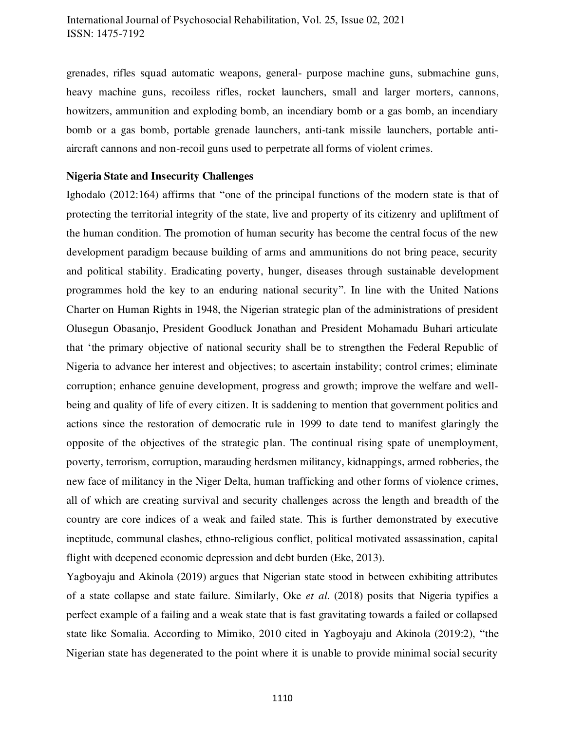grenades, rifles squad automatic weapons, general- purpose machine guns, submachine guns, heavy machine guns, recoiless rifles, rocket launchers, small and larger morters, cannons, howitzers, ammunition and exploding bomb, an incendiary bomb or a gas bomb, an incendiary bomb or a gas bomb, portable grenade launchers, anti-tank missile launchers, portable antiaircraft cannons and non-recoil guns used to perpetrate all forms of violent crimes.

#### **Nigeria State and Insecurity Challenges**

Ighodalo (2012:164) affirms that "one of the principal functions of the modern state is that of protecting the territorial integrity of the state, live and property of its citizenry and upliftment of the human condition. The promotion of human security has become the central focus of the new development paradigm because building of arms and ammunitions do not bring peace, security and political stability. Eradicating poverty, hunger, diseases through sustainable development programmes hold the key to an enduring national security". In line with the United Nations Charter on Human Rights in 1948, the Nigerian strategic plan of the administrations of president Olusegun Obasanjo, President Goodluck Jonathan and President Mohamadu Buhari articulate that 'the primary objective of national security shall be to strengthen the Federal Republic of Nigeria to advance her interest and objectives; to ascertain instability; control crimes; eliminate corruption; enhance genuine development, progress and growth; improve the welfare and wellbeing and quality of life of every citizen. It is saddening to mention that government politics and actions since the restoration of democratic rule in 1999 to date tend to manifest glaringly the opposite of the objectives of the strategic plan. The continual rising spate of unemployment, poverty, terrorism, corruption, marauding herdsmen militancy, kidnappings, armed robberies, the new face of militancy in the Niger Delta, human trafficking and other forms of violence crimes, all of which are creating survival and security challenges across the length and breadth of the country are core indices of a weak and failed state. This is further demonstrated by executive ineptitude, communal clashes, ethno-religious conflict, political motivated assassination, capital flight with deepened economic depression and debt burden (Eke, 2013).

Yagboyaju and Akinola (2019) argues that Nigerian state stood in between exhibiting attributes of a state collapse and state failure. Similarly, Oke *et al*. (2018) posits that Nigeria typifies a perfect example of a failing and a weak state that is fast gravitating towards a failed or collapsed state like Somalia. According to Mimiko, 2010 cited in Yagboyaju and Akinola (2019:2), "the Nigerian state has degenerated to the point where it is unable to provide minimal social security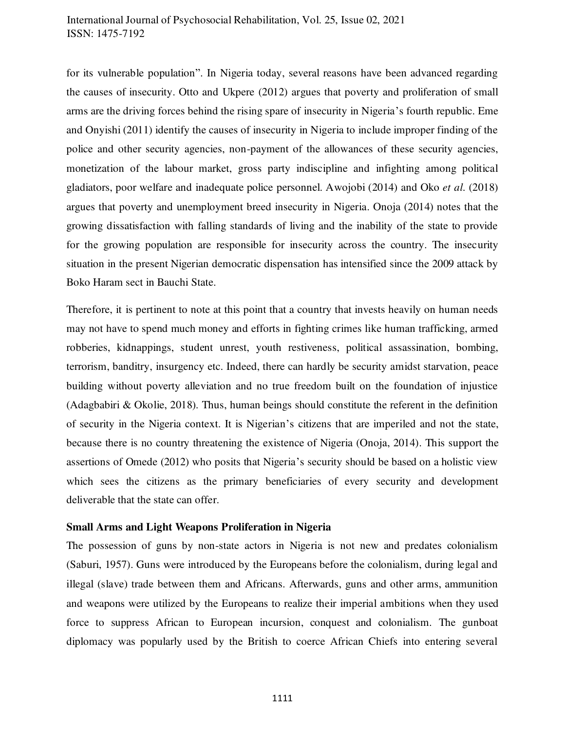for its vulnerable population". In Nigeria today, several reasons have been advanced regarding the causes of insecurity. Otto and Ukpere (2012) argues that poverty and proliferation of small arms are the driving forces behind the rising spare of insecurity in Nigeria's fourth republic. Eme and Onyishi (2011) identify the causes of insecurity in Nigeria to include improper finding of the police and other security agencies, non-payment of the allowances of these security agencies, monetization of the labour market, gross party indiscipline and infighting among political gladiators, poor welfare and inadequate police personnel. Awojobi (2014) and Oko *et al*. (2018) argues that poverty and unemployment breed insecurity in Nigeria. Onoja (2014) notes that the growing dissatisfaction with falling standards of living and the inability of the state to provide for the growing population are responsible for insecurity across the country. The insecurity situation in the present Nigerian democratic dispensation has intensified since the 2009 attack by Boko Haram sect in Bauchi State.

Therefore, it is pertinent to note at this point that a country that invests heavily on human needs may not have to spend much money and efforts in fighting crimes like human trafficking, armed robberies, kidnappings, student unrest, youth restiveness, political assassination, bombing, terrorism, banditry, insurgency etc. Indeed, there can hardly be security amidst starvation, peace building without poverty alleviation and no true freedom built on the foundation of injustice (Adagbabiri & Okolie, 2018). Thus, human beings should constitute the referent in the definition of security in the Nigeria context. It is Nigerian's citizens that are imperiled and not the state, because there is no country threatening the existence of Nigeria (Onoja, 2014). This support the assertions of Omede (2012) who posits that Nigeria's security should be based on a holistic view which sees the citizens as the primary beneficiaries of every security and development deliverable that the state can offer.

#### **Small Arms and Light Weapons Proliferation in Nigeria**

The possession of guns by non-state actors in Nigeria is not new and predates colonialism (Saburi, 1957). Guns were introduced by the Europeans before the colonialism, during legal and illegal (slave) trade between them and Africans. Afterwards, guns and other arms, ammunition and weapons were utilized by the Europeans to realize their imperial ambitions when they used force to suppress African to European incursion, conquest and colonialism. The gunboat diplomacy was popularly used by the British to coerce African Chiefs into entering several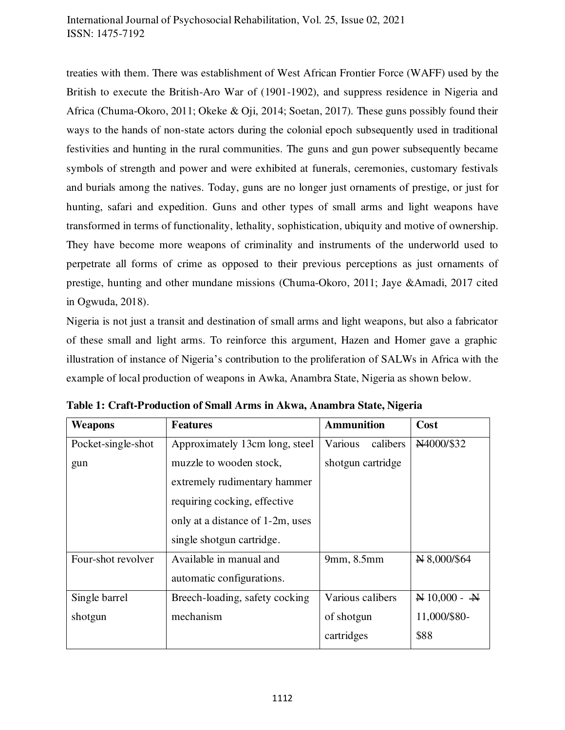treaties with them. There was establishment of West African Frontier Force (WAFF) used by the British to execute the British-Aro War of (1901-1902), and suppress residence in Nigeria and Africa (Chuma-Okoro, 2011; Okeke & Oji, 2014; Soetan, 2017). These guns possibly found their ways to the hands of non-state actors during the colonial epoch subsequently used in traditional festivities and hunting in the rural communities. The guns and gun power subsequently became symbols of strength and power and were exhibited at funerals, ceremonies, customary festivals and burials among the natives. Today, guns are no longer just ornaments of prestige, or just for hunting, safari and expedition. Guns and other types of small arms and light weapons have transformed in terms of functionality, lethality, sophistication, ubiquity and motive of ownership. They have become more weapons of criminality and instruments of the underworld used to perpetrate all forms of crime as opposed to their previous perceptions as just ornaments of prestige, hunting and other mundane missions (Chuma-Okoro, 2011; Jaye &Amadi, 2017 cited in Ogwuda, 2018).

Nigeria is not just a transit and destination of small arms and light weapons, but also a fabricator of these small and light arms. To reinforce this argument, Hazen and Homer gave a graphic illustration of instance of Nigeria's contribution to the proliferation of SALWs in Africa with the example of local production of weapons in Awka, Anambra State, Nigeria as shown below.

| <b>Weapons</b>     | <b>Features</b>                  | <b>Ammunition</b>   | Cost           |  |
|--------------------|----------------------------------|---------------------|----------------|--|
| Pocket-single-shot | Approximately 13cm long, steel   | Various<br>calibers | N4000/\$32     |  |
| gun                | muzzle to wooden stock,          | shotgun cartridge   |                |  |
|                    | extremely rudimentary hammer     |                     |                |  |
|                    | requiring cocking, effective     |                     |                |  |
|                    | only at a distance of 1-2m, uses |                     |                |  |
|                    | single shotgun cartridge.        |                     |                |  |
| Four-shot revolver | Available in manual and          | 9mm, 8.5mm          | N 8,000/\$64   |  |
|                    | automatic configurations.        |                     |                |  |
| Single barrel      | Breech-loading, safety cocking   | Various calibers    | $N 10,000 - N$ |  |
| shotgun            | mechanism                        | of shotgun          | 11,000/\$80-   |  |
|                    |                                  | cartridges          | \$88           |  |

**Table 1: Craft-Production of Small Arms in Akwa, Anambra State, Nigeria**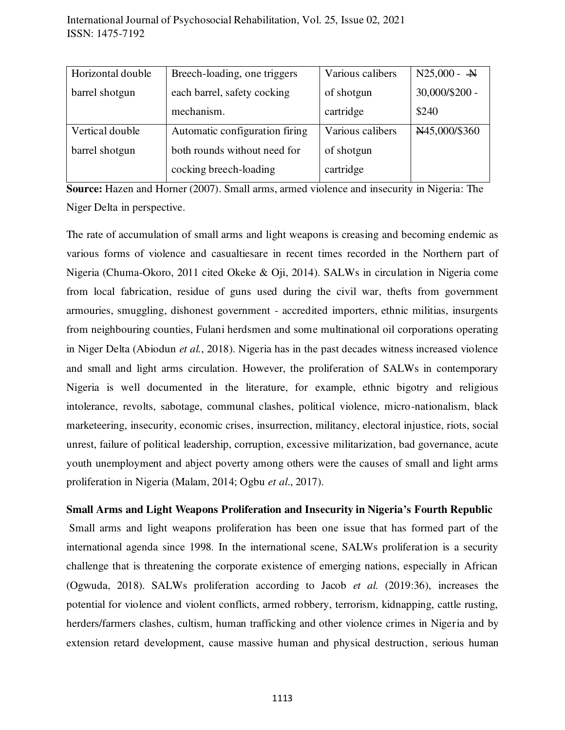| Horizontal double | Breech-loading, one triggers   | Various calibers | $N25,000 - \frac{N}{N}$ |
|-------------------|--------------------------------|------------------|-------------------------|
| barrel shotgun    | each barrel, safety cocking    | of shotgun       | 30,000/\$200 -          |
|                   | mechanism.                     | cartridge        | \$240                   |
| Vertical double   | Automatic configuration firing | Various calibers | N45,000/\$360           |
| barrel shotgun    | both rounds without need for   | of shotgun       |                         |
|                   | cocking breech-loading         | cartridge        |                         |

**Source:** Hazen and Horner (2007). Small arms, armed violence and insecurity in Nigeria: The Niger Delta in perspective.

The rate of accumulation of small arms and light weapons is creasing and becoming endemic as various forms of violence and casualtiesare in recent times recorded in the Northern part of Nigeria (Chuma-Okoro, 2011 cited Okeke & Oji, 2014). SALWs in circulation in Nigeria come from local fabrication, residue of guns used during the civil war, thefts from government armouries, smuggling, dishonest government - accredited importers, ethnic militias, insurgents from neighbouring counties, Fulani herdsmen and some multinational oil corporations operating in Niger Delta (Abiodun *et al.*, 2018). Nigeria has in the past decades witness increased violence and small and light arms circulation. However, the proliferation of SALWs in contemporary Nigeria is well documented in the literature, for example, ethnic bigotry and religious intolerance, revolts, sabotage, communal clashes, political violence, micro-nationalism, black marketeering, insecurity, economic crises, insurrection, militancy, electoral injustice, riots, social unrest, failure of political leadership, corruption, excessive militarization, bad governance, acute youth unemployment and abject poverty among others were the causes of small and light arms proliferation in Nigeria (Malam, 2014; Ogbu *et al*., 2017).

## **Small Arms and Light Weapons Proliferation and Insecurity in Nigeria's Fourth Republic**

 Small arms and light weapons proliferation has been one issue that has formed part of the international agenda since 1998. In the international scene, SALWs proliferation is a security challenge that is threatening the corporate existence of emerging nations, especially in African (Ogwuda, 2018). SALWs proliferation according to Jacob *et al.* (2019:36), increases the potential for violence and violent conflicts, armed robbery, terrorism, kidnapping, cattle rusting, herders/farmers clashes, cultism, human trafficking and other violence crimes in Nigeria and by extension retard development, cause massive human and physical destruction, serious human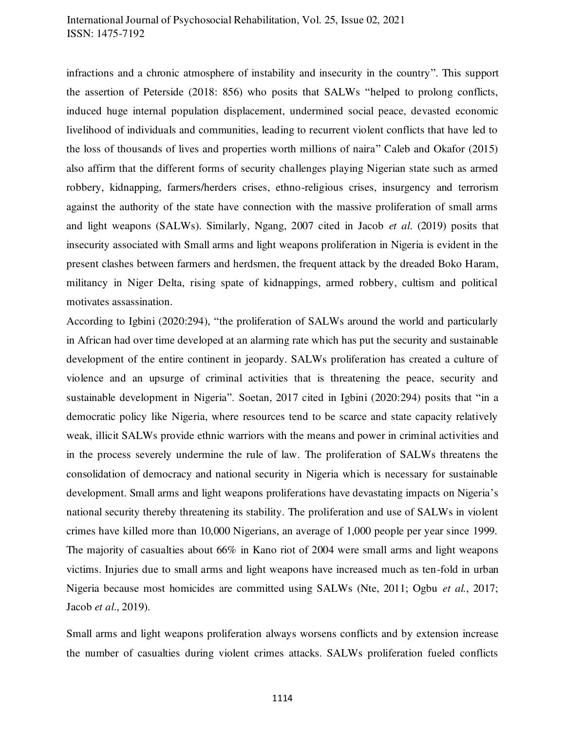infractions and a chronic atmosphere of instability and insecurity in the country". This support the assertion of Peterside (2018: 856) who posits that SALWs "helped to prolong conflicts, induced huge internal population displacement, undermined social peace, devasted economic livelihood of individuals and communities, leading to recurrent violent conflicts that have led to the loss of thousands of lives and properties worth millions of naira" Caleb and Okafor (2015) also affirm that the different forms of security challenges playing Nigerian state such as armed robbery, kidnapping, farmers/herders crises, ethno-religious crises, insurgency and terrorism against the authority of the state have connection with the massive proliferation of small arms and light weapons (SALWs). Similarly, Ngang, 2007 cited in Jacob *et al*. (2019) posits that insecurity associated with Small arms and light weapons proliferation in Nigeria is evident in the present clashes between farmers and herdsmen, the frequent attack by the dreaded Boko Haram, militancy in Niger Delta, rising spate of kidnappings, armed robbery, cultism and political motivates assassination.

According to Igbini (2020:294), "the proliferation of SALWs around the world and particularly in African had over time developed at an alarming rate which has put the security and sustainable development of the entire continent in jeopardy. SALWs proliferation has created a culture of violence and an upsurge of criminal activities that is threatening the peace, security and sustainable development in Nigeria". Soetan, 2017 cited in Igbini (2020:294) posits that "in a democratic policy like Nigeria, where resources tend to be scarce and state capacity relatively weak, illicit SALWs provide ethnic warriors with the means and power in criminal activities and in the process severely undermine the rule of law. The proliferation of SALWs threatens the consolidation of democracy and national security in Nigeria which is necessary for sustainable development. Small arms and light weapons proliferations have devastating impacts on Nigeria's national security thereby threatening its stability. The proliferation and use of SALWs in violent crimes have killed more than 10,000 Nigerians, an average of 1,000 people per year since 1999. The majority of casualties about 66% in Kano riot of 2004 were small arms and light weapons victims. Injuries due to small arms and light weapons have increased much as ten-fold in urban Nigeria because most homicides are committed using SALWs (Nte, 2011; Ogbu *et al.*, 2017; Jacob *et al*., 2019).

Small arms and light weapons proliferation always worsens conflicts and by extension increase the number of casualties during violent crimes attacks. SALWs proliferation fueled conflicts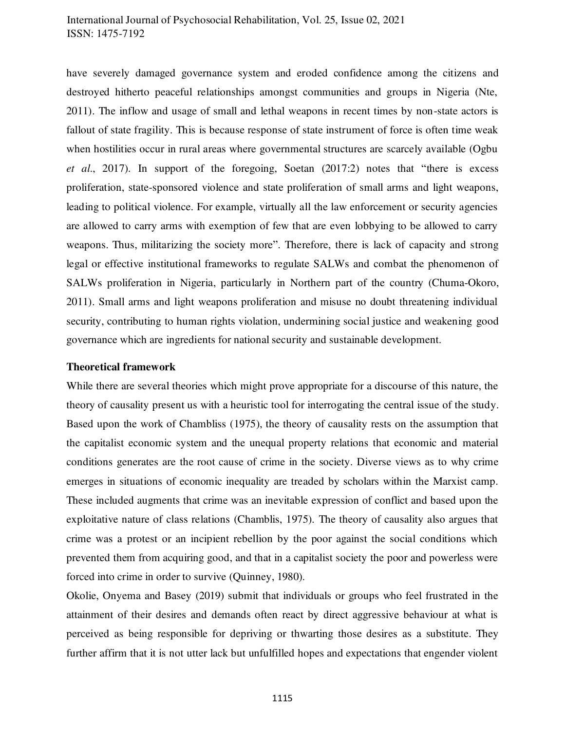have severely damaged governance system and eroded confidence among the citizens and destroyed hitherto peaceful relationships amongst communities and groups in Nigeria (Nte, 2011). The inflow and usage of small and lethal weapons in recent times by non-state actors is fallout of state fragility. This is because response of state instrument of force is often time weak when hostilities occur in rural areas where governmental structures are scarcely available (Ogbu *et al*., 2017). In support of the foregoing, Soetan (2017:2) notes that "there is excess proliferation, state-sponsored violence and state proliferation of small arms and light weapons, leading to political violence. For example, virtually all the law enforcement or security agencies are allowed to carry arms with exemption of few that are even lobbying to be allowed to carry weapons. Thus, militarizing the society more". Therefore, there is lack of capacity and strong legal or effective institutional frameworks to regulate SALWs and combat the phenomenon of SALWs proliferation in Nigeria, particularly in Northern part of the country (Chuma-Okoro, 2011). Small arms and light weapons proliferation and misuse no doubt threatening individual security, contributing to human rights violation, undermining social justice and weakening good governance which are ingredients for national security and sustainable development.

#### **Theoretical framework**

While there are several theories which might prove appropriate for a discourse of this nature, the theory of causality present us with a heuristic tool for interrogating the central issue of the study. Based upon the work of Chambliss (1975), the theory of causality rests on the assumption that the capitalist economic system and the unequal property relations that economic and material conditions generates are the root cause of crime in the society. Diverse views as to why crime emerges in situations of economic inequality are treaded by scholars within the Marxist camp. These included augments that crime was an inevitable expression of conflict and based upon the exploitative nature of class relations (Chamblis, 1975). The theory of causality also argues that crime was a protest or an incipient rebellion by the poor against the social conditions which prevented them from acquiring good, and that in a capitalist society the poor and powerless were forced into crime in order to survive (Quinney, 1980).

Okolie, Onyema and Basey (2019) submit that individuals or groups who feel frustrated in the attainment of their desires and demands often react by direct aggressive behaviour at what is perceived as being responsible for depriving or thwarting those desires as a substitute. They further affirm that it is not utter lack but unfulfilled hopes and expectations that engender violent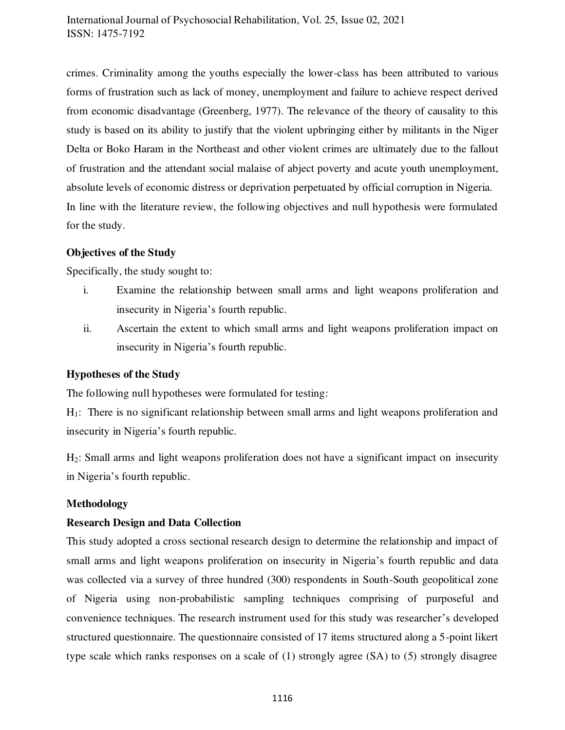crimes. Criminality among the youths especially the lower-class has been attributed to various forms of frustration such as lack of money, unemployment and failure to achieve respect derived from economic disadvantage (Greenberg, 1977). The relevance of the theory of causality to this study is based on its ability to justify that the violent upbringing either by militants in the Niger Delta or Boko Haram in the Northeast and other violent crimes are ultimately due to the fallout of frustration and the attendant social malaise of abject poverty and acute youth unemployment, absolute levels of economic distress or deprivation perpetuated by official corruption in Nigeria. In line with the literature review, the following objectives and null hypothesis were formulated for the study.

#### **Objectives of the Study**

Specifically, the study sought to:

- i. Examine the relationship between small arms and light weapons proliferation and insecurity in Nigeria's fourth republic.
- ii. Ascertain the extent to which small arms and light weapons proliferation impact on insecurity in Nigeria's fourth republic.

## **Hypotheses of the Study**

The following null hypotheses were formulated for testing:

H1: There is no significant relationship between small arms and light weapons proliferation and insecurity in Nigeria's fourth republic.

H2: Small arms and light weapons proliferation does not have a significant impact on insecurity in Nigeria's fourth republic.

#### **Methodology**

#### **Research Design and Data Collection**

This study adopted a cross sectional research design to determine the relationship and impact of small arms and light weapons proliferation on insecurity in Nigeria's fourth republic and data was collected via a survey of three hundred (300) respondents in South-South geopolitical zone of Nigeria using non-probabilistic sampling techniques comprising of purposeful and convenience techniques. The research instrument used for this study was researcher's developed structured questionnaire. The questionnaire consisted of 17 items structured along a 5-point likert type scale which ranks responses on a scale of (1) strongly agree (SA) to (5) strongly disagree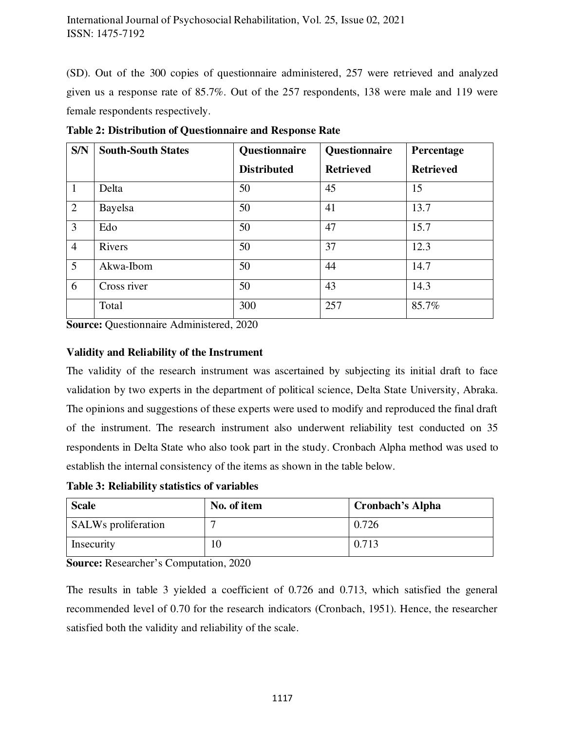(SD). Out of the 300 copies of questionnaire administered, 257 were retrieved and analyzed given us a response rate of 85.7%. Out of the 257 respondents, 138 were male and 119 were female respondents respectively.

| S/N            | <b>South-South States</b> | Questionnaire      | Questionnaire    | Percentage       |
|----------------|---------------------------|--------------------|------------------|------------------|
|                |                           | <b>Distributed</b> | <b>Retrieved</b> | <b>Retrieved</b> |
| $\mathbf{1}$   | Delta                     | 50                 | 45               | 15               |
| $\overline{2}$ | Bayelsa                   | 50                 | 41               | 13.7             |
| $\overline{3}$ | Edo                       | 50                 | 47               | 15.7             |
| $\overline{4}$ | Rivers                    | 50                 | 37               | 12.3             |
| $\overline{5}$ | Akwa-Ibom                 | 50                 | 44               | 14.7             |
| 6              | Cross river               | 50                 | 43               | 14.3             |
|                | Total                     | 300                | 257              | 85.7%            |

**Table 2: Distribution of Questionnaire and Response Rate** 

**Source:** Questionnaire Administered, 2020

#### **Validity and Reliability of the Instrument**

The validity of the research instrument was ascertained by subjecting its initial draft to face validation by two experts in the department of political science, Delta State University, Abraka. The opinions and suggestions of these experts were used to modify and reproduced the final draft of the instrument. The research instrument also underwent reliability test conducted on 35 respondents in Delta State who also took part in the study. Cronbach Alpha method was used to establish the internal consistency of the items as shown in the table below.

**Table 3: Reliability statistics of variables** 

| <b>Scale</b>               | No. of item | <b>Cronbach's Alpha</b> |
|----------------------------|-------------|-------------------------|
| <b>SALWs</b> proliferation |             | 0.726                   |
| Insecurity                 | 10          | 0.713                   |

**Source:** Researcher's Computation, 2020

The results in table 3 yielded a coefficient of 0.726 and 0.713, which satisfied the general recommended level of 0.70 for the research indicators (Cronbach, 1951). Hence, the researcher satisfied both the validity and reliability of the scale.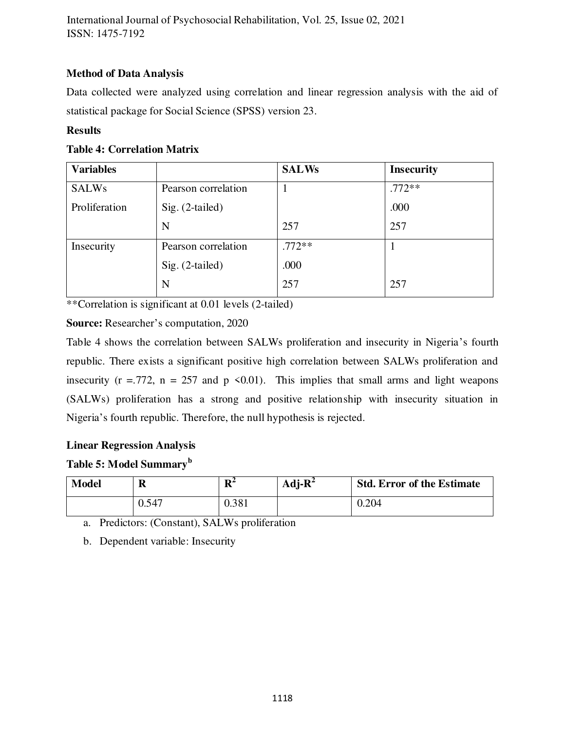# **Method of Data Analysis**

Data collected were analyzed using correlation and linear regression analysis with the aid of statistical package for Social Science (SPSS) version 23.

## **Results**

## **Table 4: Correlation Matrix**

| <b>Variables</b> |                     | <b>SALWs</b> | <b>Insecurity</b> |
|------------------|---------------------|--------------|-------------------|
| <b>SALWs</b>     | Pearson correlation | T            | $.772**$          |
| Proliferation    | $Sig. (2-tailed)$   |              | .000              |
|                  | N                   | 257          | 257               |
| Insecurity       | Pearson correlation | $.772**$     |                   |
|                  | $Sig. (2-tailed)$   | .000         |                   |
|                  | N                   | 257          | 257               |

\*\*Correlation is significant at 0.01 levels (2-tailed)

## **Source:** Researcher's computation, 2020

Table 4 shows the correlation between SALWs proliferation and insecurity in Nigeria's fourth republic. There exists a significant positive high correlation between SALWs proliferation and insecurity ( $r = .772$ ,  $n = 257$  and  $p \le 0.01$ ). This implies that small arms and light weapons (SALWs) proliferation has a strong and positive relationship with insecurity situation in Nigeria's fourth republic. Therefore, the null hypothesis is rejected.

## **Linear Regression Analysis**

# **Table 5: Model Summary<sup>b</sup>**

| <b>Model</b> | $\mathbf R$ | $\mathbf{R}^2$ | Adj- $R^2$ | <b>Std. Error of the Estimate</b> |
|--------------|-------------|----------------|------------|-----------------------------------|
|              | 0.547       | 0.381          |            | 0.204                             |

a. Predictors: (Constant), SALWs proliferation

b. Dependent variable: Insecurity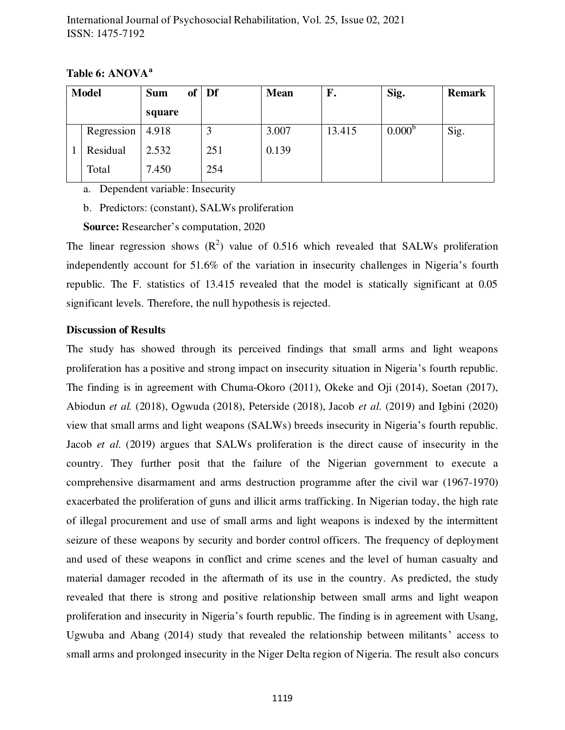**Table 6: ANOVA<sup>a</sup>**

| <b>Model</b> | of<br><b>Sum</b> | Df  | <b>Mean</b> | F.     | Sig.               | <b>Remark</b> |
|--------------|------------------|-----|-------------|--------|--------------------|---------------|
|              | square           |     |             |        |                    |               |
| Regression   | 4.918            |     | 3.007       | 13.415 | 0.000 <sup>b</sup> | Sig.          |
| Residual     | 2.532            | 251 | 0.139       |        |                    |               |
| Total        | 7.450            | 254 |             |        |                    |               |

a. Dependent variable: Insecurity

b. Predictors: (constant), SALWs proliferation

**Source:** Researcher's computation, 2020

The linear regression shows  $(R^2)$  value of 0.516 which revealed that SALWs proliferation independently account for 51.6% of the variation in insecurity challenges in Nigeria's fourth republic. The F. statistics of 13.415 revealed that the model is statically significant at 0.05 significant levels. Therefore, the null hypothesis is rejected.

#### **Discussion of Results**

The study has showed through its perceived findings that small arms and light weapons proliferation has a positive and strong impact on insecurity situation in Nigeria's fourth republic. The finding is in agreement with Chuma-Okoro (2011), Okeke and Oji (2014), Soetan (2017), Abiodun *et al.* (2018), Ogwuda (2018), Peterside (2018), Jacob *et al*. (2019) and Igbini (2020) view that small arms and light weapons (SALWs) breeds insecurity in Nigeria's fourth republic. Jacob *et al*. (2019) argues that SALWs proliferation is the direct cause of insecurity in the country. They further posit that the failure of the Nigerian government to execute a comprehensive disarmament and arms destruction programme after the civil war (1967-1970) exacerbated the proliferation of guns and illicit arms trafficking. In Nigerian today, the high rate of illegal procurement and use of small arms and light weapons is indexed by the intermittent seizure of these weapons by security and border control officers. The frequency of deployment and used of these weapons in conflict and crime scenes and the level of human casualty and material damager recoded in the aftermath of its use in the country. As predicted, the study revealed that there is strong and positive relationship between small arms and light weapon proliferation and insecurity in Nigeria's fourth republic. The finding is in agreement with Usang, Ugwuba and Abang (2014) study that revealed the relationship between militants' access to small arms and prolonged insecurity in the Niger Delta region of Nigeria. The result also concurs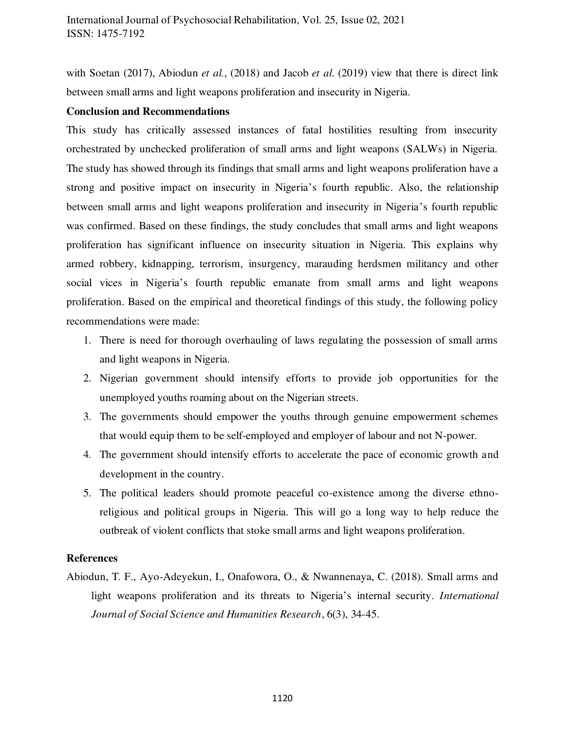with Soetan (2017), Abiodun *et al.*, (2018) and Jacob *et al*. (2019) view that there is direct link between small arms and light weapons proliferation and insecurity in Nigeria.

#### **Conclusion and Recommendations**

This study has critically assessed instances of fatal hostilities resulting from insecurity orchestrated by unchecked proliferation of small arms and light weapons (SALWs) in Nigeria. The study has showed through its findings that small arms and light weapons proliferation have a strong and positive impact on insecurity in Nigeria's fourth republic. Also, the relationship between small arms and light weapons proliferation and insecurity in Nigeria's fourth republic was confirmed. Based on these findings, the study concludes that small arms and light weapons proliferation has significant influence on insecurity situation in Nigeria. This explains why armed robbery, kidnapping, terrorism, insurgency, marauding herdsmen militancy and other social vices in Nigeria's fourth republic emanate from small arms and light weapons proliferation. Based on the empirical and theoretical findings of this study, the following policy recommendations were made:

- 1. There is need for thorough overhauling of laws regulating the possession of small arms and light weapons in Nigeria.
- 2. Nigerian government should intensify efforts to provide job opportunities for the unemployed youths roaming about on the Nigerian streets.
- 3. The governments should empower the youths through genuine empowerment schemes that would equip them to be self-employed and employer of labour and not N-power.
- 4. The government should intensify efforts to accelerate the pace of economic growth and development in the country.
- 5. The political leaders should promote peaceful co-existence among the diverse ethnoreligious and political groups in Nigeria. This will go a long way to help reduce the outbreak of violent conflicts that stoke small arms and light weapons proliferation.

## **References**

Abiodun, T. F., Ayo-Adeyekun, I., Onafowora, O., & Nwannenaya, C. (2018). Small arms and light weapons proliferation and its threats to Nigeria's internal security. *International Journal of Social Science and Humanities Research*, 6(3), 34-45.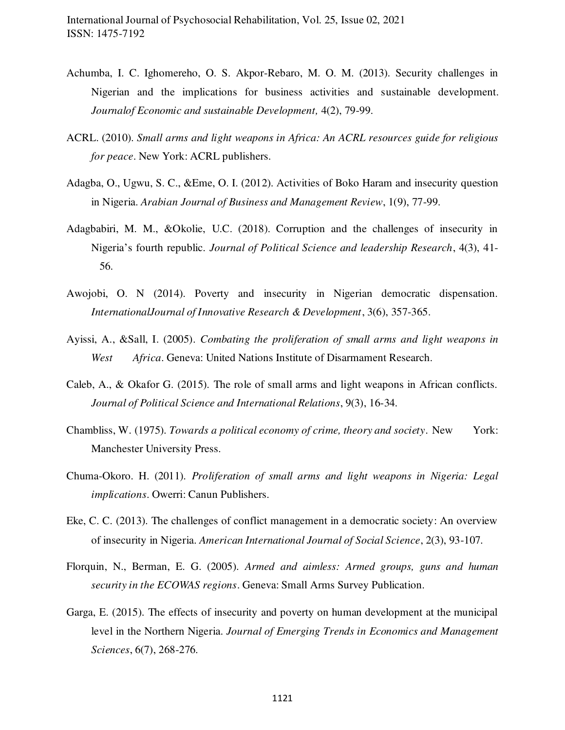- Achumba, I. C. Ighomereho, O. S. Akpor-Rebaro, M. O. M. (2013). Security challenges in Nigerian and the implications for business activities and sustainable development. *Journalof Economic and sustainable Development,* 4(2), 79-99.
- ACRL. (2010). *Small arms and light weapons in Africa: An ACRL resources guide for religious for peace*. New York: ACRL publishers.
- Adagba, O., Ugwu, S. C., &Eme, O. I. (2012). Activities of Boko Haram and insecurity question in Nigeria. *Arabian Journal of Business and Management Review*, 1(9), 77-99.
- Adagbabiri, M. M., &Okolie, U.C. (2018). Corruption and the challenges of insecurity in Nigeria's fourth republic. *Journal of Political Science and leadership Research*, 4(3), 41- 56.
- Awojobi, O. N (2014). Poverty and insecurity in Nigerian democratic dispensation. *InternationalJournal of Innovative Research & Development*, 3(6), 357-365.
- Ayissi, A., &Sall, I. (2005). *Combating the proliferation of small arms and light weapons in West Africa*. Geneva: United Nations Institute of Disarmament Research.
- Caleb, A., & Okafor G. (2015). The role of small arms and light weapons in African conflicts. *Journal of Political Science and International Relations*, 9(3), 16-34.
- Chambliss, W. (1975). *Towards a political economy of crime, theory and society*. New York: Manchester University Press.
- Chuma-Okoro. H. (2011). *Proliferation of small arms and light weapons in Nigeria: Legal implications*. Owerri: Canun Publishers.
- Eke, C. C. (2013). The challenges of conflict management in a democratic society: An overview of insecurity in Nigeria. *American International Journal of Social Science*, 2(3), 93-107.
- Florquin, N., Berman, E. G. (2005). *Armed and aimless: Armed groups, guns and human security in the ECOWAS regions*. Geneva: Small Arms Survey Publication.
- Garga, E. (2015). The effects of insecurity and poverty on human development at the municipal level in the Northern Nigeria. *Journal of Emerging Trends in Economics and Management Sciences*, 6(7), 268-276.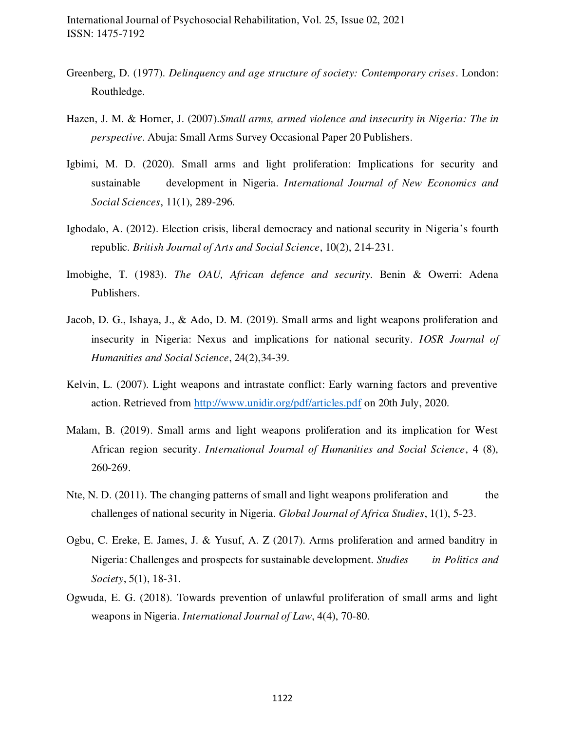- Greenberg, D. (1977). *Delinquency and age structure of society: Contemporary crises*. London: Routhledge.
- Hazen, J. M. & Horner, J. (2007).*Small arms, armed violence and insecurity in Nigeria: The in perspective*. Abuja: Small Arms Survey Occasional Paper 20 Publishers.
- Igbimi, M. D. (2020). Small arms and light proliferation: Implications for security and sustainable development in Nigeria. *International Journal of New Economics and Social Sciences*, 11(1), 289-296.
- Ighodalo, A. (2012). Election crisis, liberal democracy and national security in Nigeria's fourth republic. *British Journal of Arts and Social Science*, 10(2), 214-231.
- Imobighe, T. (1983). *The OAU, African defence and security*. Benin & Owerri: Adena Publishers.
- Jacob, D. G., Ishaya, J., & Ado, D. M. (2019). Small arms and light weapons proliferation and insecurity in Nigeria: Nexus and implications for national security. *IOSR Journal of Humanities and Social Science*, 24(2),34-39.
- Kelvin, L. (2007). Light weapons and intrastate conflict: Early warning factors and preventive action. Retrieved from<http://www.unidir.org/pdf/articles.pdf>on 20th July, 2020.
- Malam, B. (2019). Small arms and light weapons proliferation and its implication for West African region security. *International Journal of Humanities and Social Science*, 4 (8), 260-269.
- Nte, N. D. (2011). The changing patterns of small and light weapons proliferation and the challenges of national security in Nigeria. *Global Journal of Africa Studies*, 1(1), 5-23.
- Ogbu, C. Ereke, E. James, J. & Yusuf, A. Z (2017). Arms proliferation and armed banditry in Nigeria: Challenges and prospects for sustainable development. *Studies in Politics and Society*, 5(1), 18-31.
- Ogwuda, E. G. (2018). Towards prevention of unlawful proliferation of small arms and light weapons in Nigeria. *International Journal of Law*, 4(4), 70-80.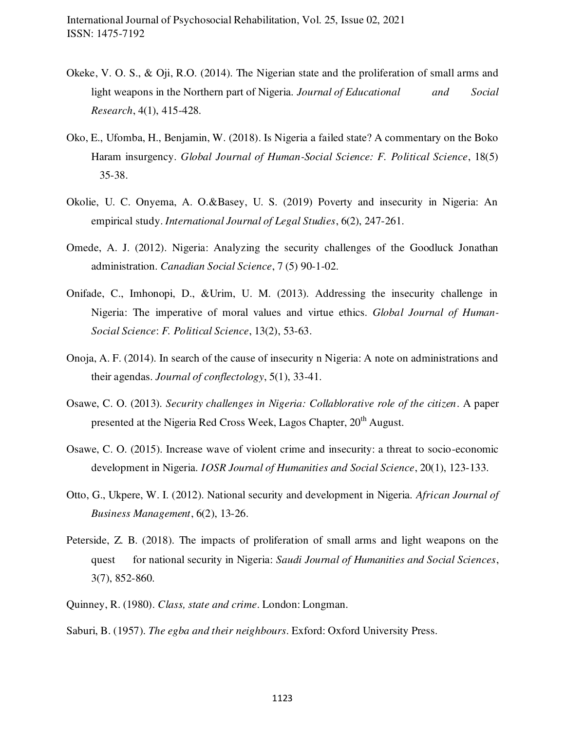- Okeke, V. O. S., & Oji, R.O. (2014). The Nigerian state and the proliferation of small arms and light weapons in the Northern part of Nigeria. *Journal of Educational and Social Research*, 4(1), 415-428.
- Oko, E., Ufomba, H., Benjamin, W. (2018). Is Nigeria a failed state? A commentary on the Boko Haram insurgency. *Global Journal of Human-Social Science: F. Political Science*, 18(5) 35-38.
- Okolie, U. C. Onyema, A. O.&Basey, U. S. (2019) Poverty and insecurity in Nigeria: An empirical study. *International Journal of Legal Studies*, 6(2), 247-261.
- Omede, A. J. (2012). Nigeria: Analyzing the security challenges of the Goodluck Jonathan administration. *Canadian Social Science*, 7 (5) 90-1-02.
- Onifade, C., Imhonopi, D., &Urim, U. M. (2013). Addressing the insecurity challenge in Nigeria: The imperative of moral values and virtue ethics. *Global Journal of Human-Social Science*: *F. Political Science*, 13(2), 53-63.
- Onoja, A. F. (2014). In search of the cause of insecurity n Nigeria: A note on administrations and their agendas. *Journal of conflectology*, 5(1), 33-41.
- Osawe, C. O. (2013). *Security challenges in Nigeria: Collablorative role of the citizen*. A paper presented at the Nigeria Red Cross Week, Lagos Chapter, 20<sup>th</sup> August.
- Osawe, C. O. (2015). Increase wave of violent crime and insecurity: a threat to socio-economic development in Nigeria. *IOSR Journal of Humanities and Social Science*, 20(1), 123-133.
- Otto, G., Ukpere, W. I. (2012). National security and development in Nigeria. *African Journal of Business Management*, 6(2), 13-26.
- Peterside, Z. B. (2018). The impacts of proliferation of small arms and light weapons on the quest for national security in Nigeria: *Saudi Journal of Humanities and Social Sciences*, 3(7), 852-860.
- Quinney, R. (1980). *Class, state and crime*. London: Longman.

Saburi, B. (1957). *The egba and their neighbours*. Exford: Oxford University Press.